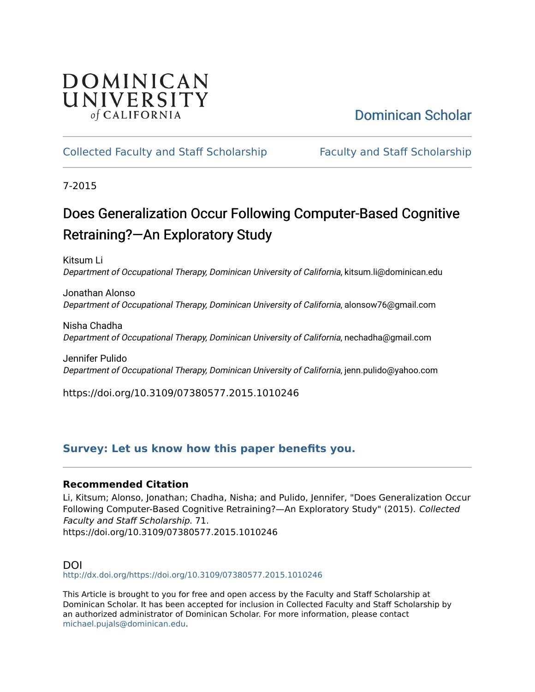## DOMINICAN UNIVERSITY of CALIFORNIA

# [Dominican Scholar](https://scholar.dominican.edu/)

## [Collected Faculty and Staff Scholarship](https://scholar.dominican.edu/all-faculty) [Faculty and Staff Scholarship](https://scholar.dominican.edu/faculty-scholarship)

7-2015

# Does Generalization Occur Following Computer-Based Cognitive Retraining?—An Exploratory Study

Kitsum Li Department of Occupational Therapy, Dominican University of California, kitsum.li@dominican.edu

Jonathan Alonso Department of Occupational Therapy, Dominican University of California, alonsow76@gmail.com

Nisha Chadha Department of Occupational Therapy, Dominican University of California, nechadha@gmail.com

Jennifer Pulido Department of Occupational Therapy, Dominican University of California, jenn.pulido@yahoo.com

https://doi.org/10.3109/07380577.2015.1010246

## **[Survey: Let us know how this paper benefits you.](https://dominican.libwizard.com/dominican-scholar-feedback)**

### **Recommended Citation**

Li, Kitsum; Alonso, Jonathan; Chadha, Nisha; and Pulido, Jennifer, "Does Generalization Occur Following Computer-Based Cognitive Retraining?—An Exploratory Study" (2015). Collected Faculty and Staff Scholarship. 71. https://doi.org/10.3109/07380577.2015.1010246

#### DOI

<http://dx.doi.org/https://doi.org/10.3109/07380577.2015.1010246>

This Article is brought to you for free and open access by the Faculty and Staff Scholarship at Dominican Scholar. It has been accepted for inclusion in Collected Faculty and Staff Scholarship by an authorized administrator of Dominican Scholar. For more information, please contact [michael.pujals@dominican.edu.](mailto:michael.pujals@dominican.edu)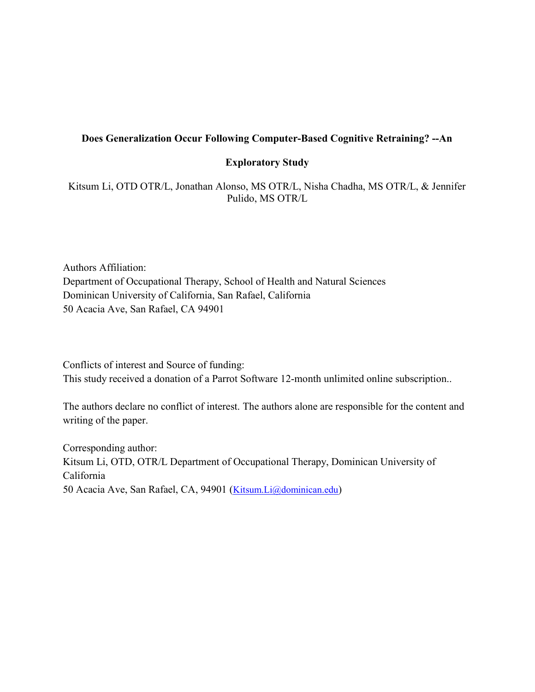#### Does Generalization Occur Following Computer-Based Cognitive Retraining? --An

#### Exploratory Study

Kitsum Li, OTD OTR/L, Jonathan Alonso, MS OTR/L, Nisha Chadha, MS OTR/L, & Jennifer Pulido, MS OTR/L

Authors Affiliation: Department of Occupational Therapy, School of Health and Natural Sciences Dominican University of California, San Rafael, California 50 Acacia Ave, San Rafael, CA 94901

Conflicts of interest and Source of funding: This study received a donation of a Parrot Software 12-month unlimited online subscription..

The authors declare no conflict of interest. The authors alone are responsible for the content and writing of the paper.

Corresponding author: Kitsum Li, OTD, OTR/L Department of Occupational Therapy, Dominican University of California 50 Acacia Ave, San Rafael, CA, 94901 (Kitsum.Li@dominican.edu)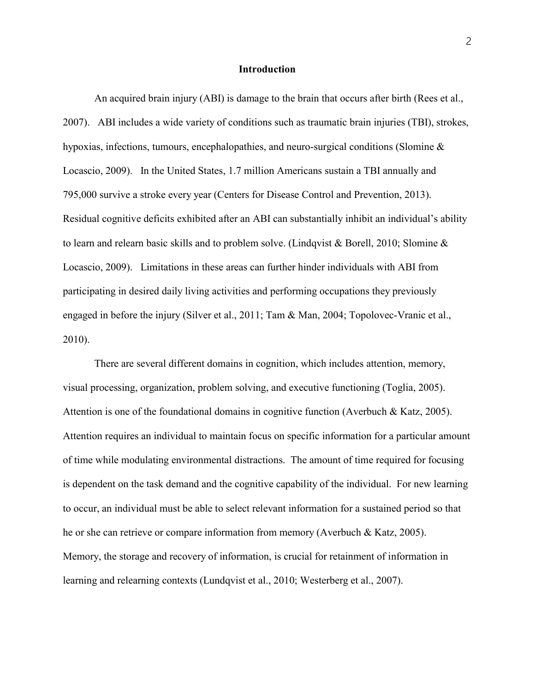#### Introduction

 An acquired brain injury (ABI) is damage to the brain that occurs after birth (Rees et al., 2007). ABI includes a wide variety of conditions such as traumatic brain injuries (TBI), strokes, hypoxias, infections, tumours, encephalopathies, and neuro-surgical conditions (Slomine & Locascio, 2009). In the United States, 1.7 million Americans sustain a TBI annually and 795,000 survive a stroke every year (Centers for Disease Control and Prevention, 2013). Residual cognitive deficits exhibited after an ABI can substantially inhibit an individual's ability to learn and relearn basic skills and to problem solve. (Lindqvist & Borell, 2010; Slomine & Locascio, 2009). Limitations in these areas can further hinder individuals with ABI from participating in desired daily living activities and performing occupations they previously engaged in before the injury (Silver et al., 2011; Tam & Man, 2004; Topolovec-Vranic et al., 2010).

 There are several different domains in cognition, which includes attention, memory, visual processing, organization, problem solving, and executive functioning (Toglia, 2005). Attention is one of the foundational domains in cognitive function (Averbuch & Katz, 2005). Attention requires an individual to maintain focus on specific information for a particular amount of time while modulating environmental distractions. The amount of time required for focusing is dependent on the task demand and the cognitive capability of the individual. For new learning to occur, an individual must be able to select relevant information for a sustained period so that he or she can retrieve or compare information from memory (Averbuch & Katz, 2005). Memory, the storage and recovery of information, is crucial for retainment of information in learning and relearning contexts (Lundqvist et al., 2010; Westerberg et al., 2007).

2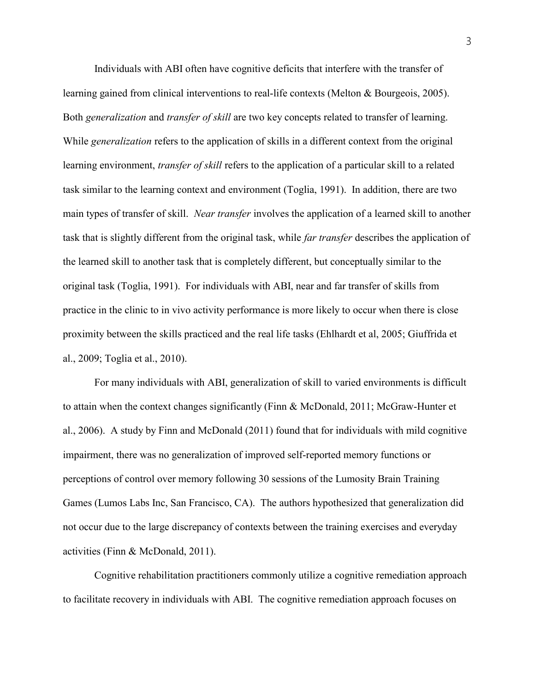Individuals with ABI often have cognitive deficits that interfere with the transfer of learning gained from clinical interventions to real-life contexts (Melton & Bourgeois, 2005). Both *generalization* and *transfer of skill* are two key concepts related to transfer of learning. While *generalization* refers to the application of skills in a different context from the original learning environment, *transfer of skill* refers to the application of a particular skill to a related task similar to the learning context and environment (Toglia, 1991). In addition, there are two main types of transfer of skill. *Near transfer* involves the application of a learned skill to another task that is slightly different from the original task, while far transfer describes the application of the learned skill to another task that is completely different, but conceptually similar to the original task (Toglia, 1991). For individuals with ABI, near and far transfer of skills from practice in the clinic to in vivo activity performance is more likely to occur when there is close proximity between the skills practiced and the real life tasks (Ehlhardt et al, 2005; Giuffrida et al., 2009; Toglia et al., 2010).

For many individuals with ABI, generalization of skill to varied environments is difficult to attain when the context changes significantly (Finn & McDonald, 2011; McGraw-Hunter et al., 2006). A study by Finn and McDonald (2011) found that for individuals with mild cognitive impairment, there was no generalization of improved self-reported memory functions or perceptions of control over memory following 30 sessions of the Lumosity Brain Training Games (Lumos Labs Inc, San Francisco, CA). The authors hypothesized that generalization did not occur due to the large discrepancy of contexts between the training exercises and everyday activities (Finn & McDonald, 2011).

 Cognitive rehabilitation practitioners commonly utilize a cognitive remediation approach to facilitate recovery in individuals with ABI. The cognitive remediation approach focuses on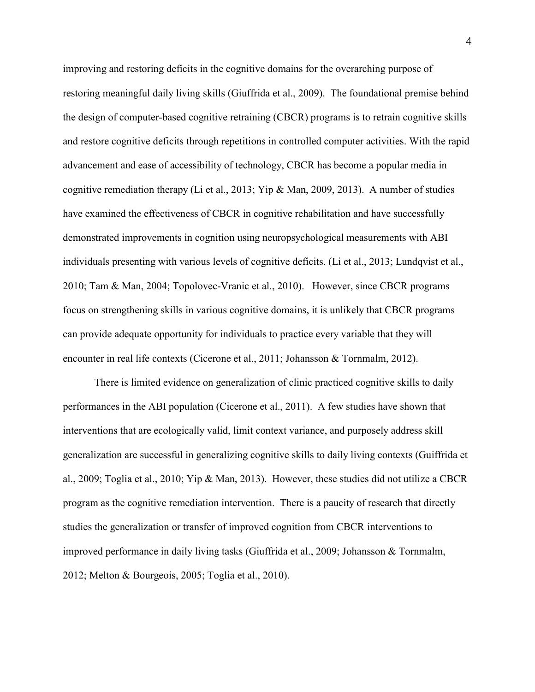improving and restoring deficits in the cognitive domains for the overarching purpose of restoring meaningful daily living skills (Giuffrida et al., 2009). The foundational premise behind the design of computer-based cognitive retraining (CBCR) programs is to retrain cognitive skills and restore cognitive deficits through repetitions in controlled computer activities. With the rapid advancement and ease of accessibility of technology, CBCR has become a popular media in cognitive remediation therapy (Li et al., 2013; Yip & Man, 2009, 2013). A number of studies have examined the effectiveness of CBCR in cognitive rehabilitation and have successfully demonstrated improvements in cognition using neuropsychological measurements with ABI individuals presenting with various levels of cognitive deficits. (Li et al., 2013; Lundqvist et al., 2010; Tam & Man, 2004; Topolovec-Vranic et al., 2010). However, since CBCR programs focus on strengthening skills in various cognitive domains, it is unlikely that CBCR programs can provide adequate opportunity for individuals to practice every variable that they will encounter in real life contexts (Cicerone et al., 2011; Johansson & Tornmalm, 2012).

There is limited evidence on generalization of clinic practiced cognitive skills to daily performances in the ABI population (Cicerone et al., 2011). A few studies have shown that interventions that are ecologically valid, limit context variance, and purposely address skill generalization are successful in generalizing cognitive skills to daily living contexts (Guiffrida et al., 2009; Toglia et al., 2010; Yip & Man, 2013). However, these studies did not utilize a CBCR program as the cognitive remediation intervention. There is a paucity of research that directly studies the generalization or transfer of improved cognition from CBCR interventions to improved performance in daily living tasks (Giuffrida et al., 2009; Johansson & Tornmalm, 2012; Melton & Bourgeois, 2005; Toglia et al., 2010).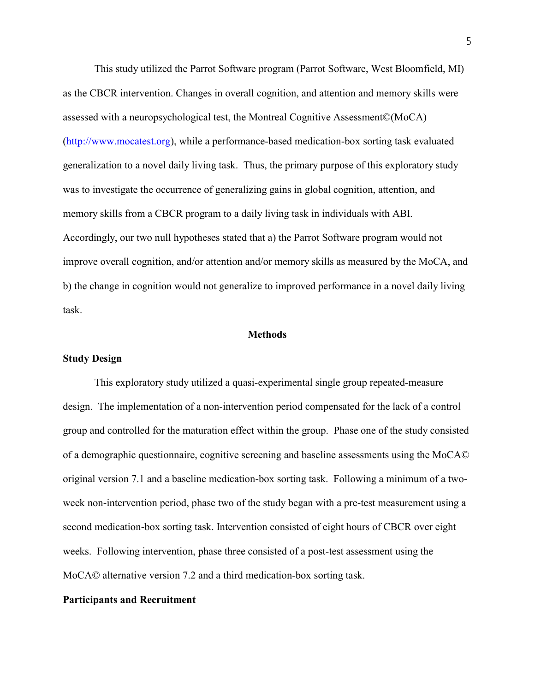This study utilized the Parrot Software program (Parrot Software, West Bloomfield, MI) as the CBCR intervention. Changes in overall cognition, and attention and memory skills were assessed with a neuropsychological test, the Montreal Cognitive Assessment©(MoCA) (http://www.mocatest.org), while a performance-based medication-box sorting task evaluated generalization to a novel daily living task. Thus, the primary purpose of this exploratory study was to investigate the occurrence of generalizing gains in global cognition, attention, and memory skills from a CBCR program to a daily living task in individuals with ABI. Accordingly, our two null hypotheses stated that a) the Parrot Software program would not improve overall cognition, and/or attention and/or memory skills as measured by the MoCA, and b) the change in cognition would not generalize to improved performance in a novel daily living task.

#### Methods

#### Study Design

This exploratory study utilized a quasi-experimental single group repeated-measure design. The implementation of a non-intervention period compensated for the lack of a control group and controlled for the maturation effect within the group. Phase one of the study consisted of a demographic questionnaire, cognitive screening and baseline assessments using the MoCA© original version 7.1 and a baseline medication-box sorting task. Following a minimum of a twoweek non-intervention period, phase two of the study began with a pre-test measurement using a second medication-box sorting task. Intervention consisted of eight hours of CBCR over eight weeks. Following intervention, phase three consisted of a post-test assessment using the MoCA© alternative version 7.2 and a third medication-box sorting task.

#### Participants and Recruitment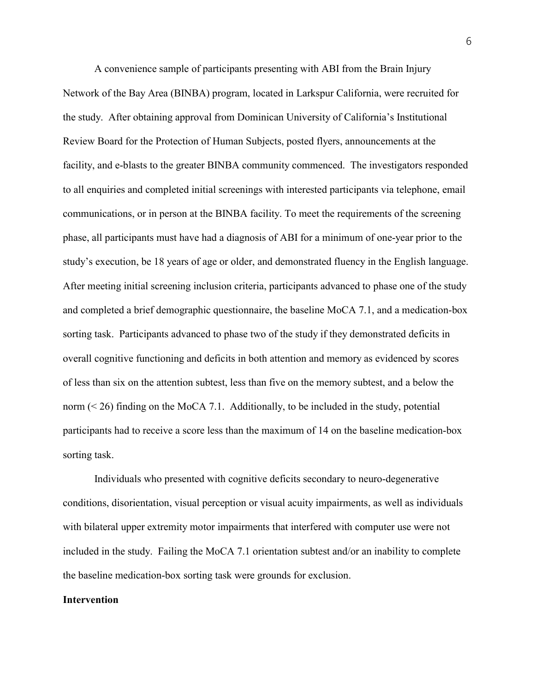A convenience sample of participants presenting with ABI from the Brain Injury Network of the Bay Area (BINBA) program, located in Larkspur California, were recruited for the study. After obtaining approval from Dominican University of California's Institutional Review Board for the Protection of Human Subjects, posted flyers, announcements at the facility, and e-blasts to the greater BINBA community commenced. The investigators responded to all enquiries and completed initial screenings with interested participants via telephone, email communications, or in person at the BINBA facility. To meet the requirements of the screening phase, all participants must have had a diagnosis of ABI for a minimum of one-year prior to the study's execution, be 18 years of age or older, and demonstrated fluency in the English language. After meeting initial screening inclusion criteria, participants advanced to phase one of the study and completed a brief demographic questionnaire, the baseline MoCA 7.1, and a medication-box sorting task. Participants advanced to phase two of the study if they demonstrated deficits in overall cognitive functioning and deficits in both attention and memory as evidenced by scores of less than six on the attention subtest, less than five on the memory subtest, and a below the norm (< 26) finding on the MoCA 7.1. Additionally, to be included in the study, potential participants had to receive a score less than the maximum of 14 on the baseline medication-box sorting task.

 Individuals who presented with cognitive deficits secondary to neuro-degenerative conditions, disorientation, visual perception or visual acuity impairments, as well as individuals with bilateral upper extremity motor impairments that interfered with computer use were not included in the study. Failing the MoCA 7.1 orientation subtest and/or an inability to complete the baseline medication-box sorting task were grounds for exclusion.

#### Intervention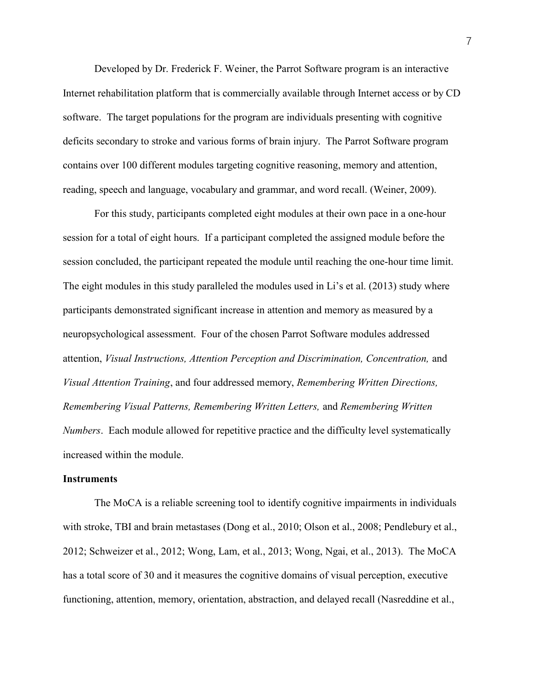Developed by Dr. Frederick F. Weiner, the Parrot Software program is an interactive Internet rehabilitation platform that is commercially available through Internet access or by CD software. The target populations for the program are individuals presenting with cognitive deficits secondary to stroke and various forms of brain injury. The Parrot Software program contains over 100 different modules targeting cognitive reasoning, memory and attention, reading, speech and language, vocabulary and grammar, and word recall. (Weiner, 2009).

For this study, participants completed eight modules at their own pace in a one-hour session for a total of eight hours. If a participant completed the assigned module before the session concluded, the participant repeated the module until reaching the one-hour time limit. The eight modules in this study paralleled the modules used in Li's et al. (2013) study where participants demonstrated significant increase in attention and memory as measured by a neuropsychological assessment. Four of the chosen Parrot Software modules addressed attention, Visual Instructions, Attention Perception and Discrimination, Concentration, and Visual Attention Training, and four addressed memory, Remembering Written Directions, Remembering Visual Patterns, Remembering Written Letters, and Remembering Written Numbers. Each module allowed for repetitive practice and the difficulty level systematically increased within the module.

#### **Instruments**

The MoCA is a reliable screening tool to identify cognitive impairments in individuals with stroke, TBI and brain metastases (Dong et al., 2010; Olson et al., 2008; Pendlebury et al., 2012; Schweizer et al., 2012; Wong, Lam, et al., 2013; Wong, Ngai, et al., 2013). The MoCA has a total score of 30 and it measures the cognitive domains of visual perception, executive functioning, attention, memory, orientation, abstraction, and delayed recall (Nasreddine et al.,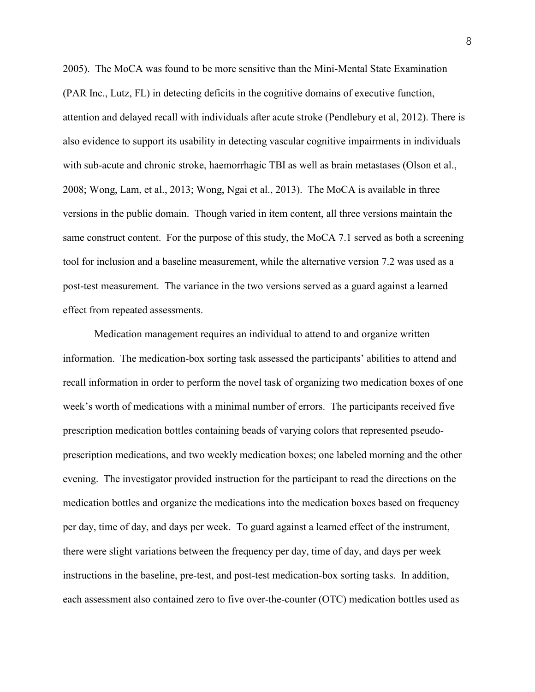2005). The MoCA was found to be more sensitive than the Mini-Mental State Examination (PAR Inc., Lutz, FL) in detecting deficits in the cognitive domains of executive function, attention and delayed recall with individuals after acute stroke (Pendlebury et al, 2012). There is also evidence to support its usability in detecting vascular cognitive impairments in individuals with sub-acute and chronic stroke, haemorrhagic TBI as well as brain metastases (Olson et al., 2008; Wong, Lam, et al., 2013; Wong, Ngai et al., 2013). The MoCA is available in three versions in the public domain. Though varied in item content, all three versions maintain the same construct content. For the purpose of this study, the MoCA 7.1 served as both a screening tool for inclusion and a baseline measurement, while the alternative version 7.2 was used as a post-test measurement. The variance in the two versions served as a guard against a learned effect from repeated assessments.

Medication management requires an individual to attend to and organize written information. The medication-box sorting task assessed the participants' abilities to attend and recall information in order to perform the novel task of organizing two medication boxes of one week's worth of medications with a minimal number of errors. The participants received five prescription medication bottles containing beads of varying colors that represented pseudoprescription medications, and two weekly medication boxes; one labeled morning and the other evening. The investigator provided instruction for the participant to read the directions on the medication bottles and organize the medications into the medication boxes based on frequency per day, time of day, and days per week. To guard against a learned effect of the instrument, there were slight variations between the frequency per day, time of day, and days per week instructions in the baseline, pre-test, and post-test medication-box sorting tasks. In addition, each assessment also contained zero to five over-the-counter (OTC) medication bottles used as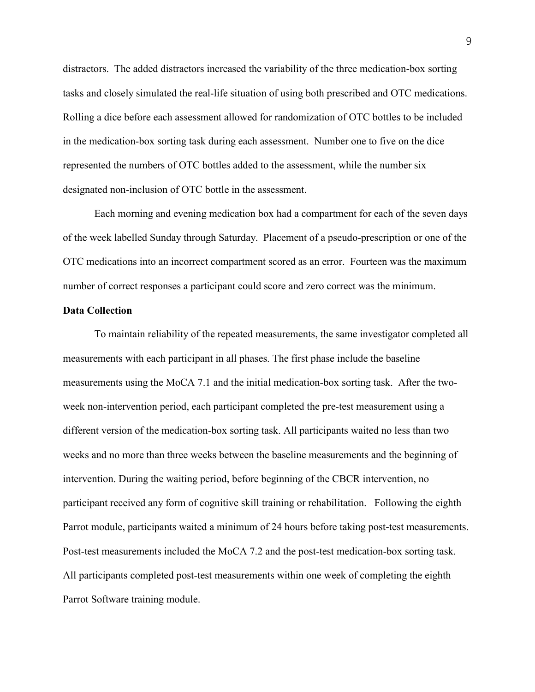distractors. The added distractors increased the variability of the three medication-box sorting tasks and closely simulated the real-life situation of using both prescribed and OTC medications. Rolling a dice before each assessment allowed for randomization of OTC bottles to be included in the medication-box sorting task during each assessment. Number one to five on the dice represented the numbers of OTC bottles added to the assessment, while the number six designated non-inclusion of OTC bottle in the assessment.

 Each morning and evening medication box had a compartment for each of the seven days of the week labelled Sunday through Saturday. Placement of a pseudo-prescription or one of the OTC medications into an incorrect compartment scored as an error. Fourteen was the maximum number of correct responses a participant could score and zero correct was the minimum.

#### Data Collection

To maintain reliability of the repeated measurements, the same investigator completed all measurements with each participant in all phases. The first phase include the baseline measurements using the MoCA 7.1 and the initial medication-box sorting task. After the twoweek non-intervention period, each participant completed the pre-test measurement using a different version of the medication-box sorting task. All participants waited no less than two weeks and no more than three weeks between the baseline measurements and the beginning of intervention. During the waiting period, before beginning of the CBCR intervention, no participant received any form of cognitive skill training or rehabilitation. Following the eighth Parrot module, participants waited a minimum of 24 hours before taking post-test measurements. Post-test measurements included the MoCA 7.2 and the post-test medication-box sorting task. All participants completed post-test measurements within one week of completing the eighth Parrot Software training module.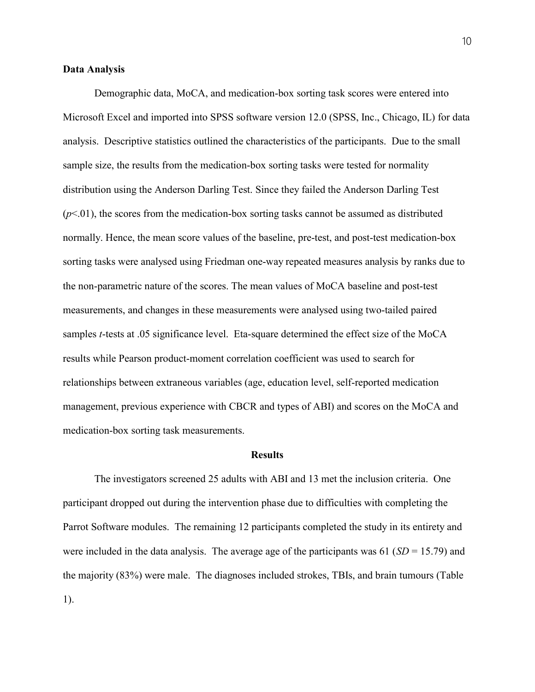#### Data Analysis

Demographic data, MoCA, and medication-box sorting task scores were entered into Microsoft Excel and imported into SPSS software version 12.0 (SPSS, Inc., Chicago, IL) for data analysis. Descriptive statistics outlined the characteristics of the participants. Due to the small sample size, the results from the medication-box sorting tasks were tested for normality distribution using the Anderson Darling Test. Since they failed the Anderson Darling Test  $(p<0.01)$ , the scores from the medication-box sorting tasks cannot be assumed as distributed normally. Hence, the mean score values of the baseline, pre-test, and post-test medication-box sorting tasks were analysed using Friedman one-way repeated measures analysis by ranks due to the non-parametric nature of the scores. The mean values of MoCA baseline and post-test measurements, and changes in these measurements were analysed using two-tailed paired samples t-tests at .05 significance level. Eta-square determined the effect size of the MoCA results while Pearson product-moment correlation coefficient was used to search for relationships between extraneous variables (age, education level, self-reported medication management, previous experience with CBCR and types of ABI) and scores on the MoCA and medication-box sorting task measurements.

#### **Results**

The investigators screened 25 adults with ABI and 13 met the inclusion criteria. One participant dropped out during the intervention phase due to difficulties with completing the Parrot Software modules. The remaining 12 participants completed the study in its entirety and were included in the data analysis. The average age of the participants was 61 ( $SD = 15.79$ ) and the majority (83%) were male. The diagnoses included strokes, TBIs, and brain tumours (Table 1).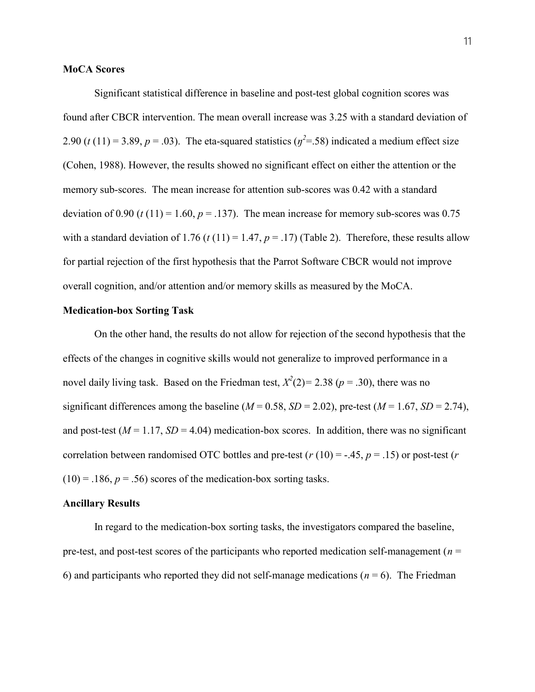#### MoCA Scores

Significant statistical difference in baseline and post-test global cognition scores was found after CBCR intervention. The mean overall increase was 3.25 with a standard deviation of 2.90 (t (11) = 3.89, p = .03). The eta-squared statistics ( $\eta^2$ =.58) indicated a medium effect size (Cohen, 1988). However, the results showed no significant effect on either the attention or the memory sub-scores. The mean increase for attention sub-scores was 0.42 with a standard deviation of 0.90 (t (11) = 1.60,  $p = .137$ ). The mean increase for memory sub-scores was 0.75 with a standard deviation of 1.76 (t (11) = 1.47,  $p = .17$ ) (Table 2). Therefore, these results allow for partial rejection of the first hypothesis that the Parrot Software CBCR would not improve overall cognition, and/or attention and/or memory skills as measured by the MoCA.

#### Medication-box Sorting Task

 On the other hand, the results do not allow for rejection of the second hypothesis that the effects of the changes in cognitive skills would not generalize to improved performance in a novel daily living task. Based on the Friedman test,  $X^2(2) = 2.38$  ( $p = .30$ ), there was no significant differences among the baseline ( $M = 0.58$ ,  $SD = 2.02$ ), pre-test ( $M = 1.67$ ,  $SD = 2.74$ ), and post-test ( $M = 1.17$ ,  $SD = 4.04$ ) medication-box scores. In addition, there was no significant correlation between randomised OTC bottles and pre-test ( $r(10) = -.45$ ,  $p = .15$ ) or post-test ( $r$ )  $(10) = .186$ ,  $p = .56$ ) scores of the medication-box sorting tasks.

#### Ancillary Results

 In regard to the medication-box sorting tasks, the investigators compared the baseline, pre-test, and post-test scores of the participants who reported medication self-management ( $n =$ 6) and participants who reported they did not self-manage medications ( $n = 6$ ). The Friedman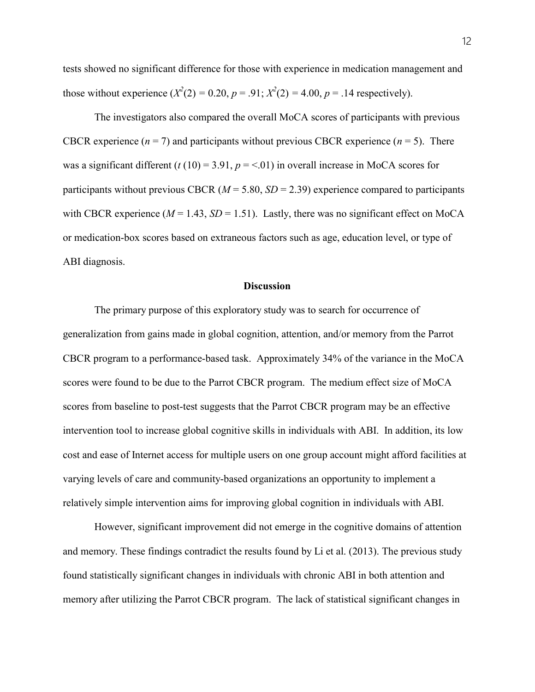tests showed no significant difference for those with experience in medication management and those without experience  $(X^2(2) = 0.20, p = .91; X^2(2) = 4.00, p = .14$  respectively).

The investigators also compared the overall MoCA scores of participants with previous CBCR experience  $(n = 7)$  and participants without previous CBCR experience  $(n = 5)$ . There was a significant different (t (10) = 3.91,  $p = 0.01$ ) in overall increase in MoCA scores for participants without previous CBCR ( $M = 5.80$ ,  $SD = 2.39$ ) experience compared to participants with CBCR experience ( $M = 1.43$ ,  $SD = 1.51$ ). Lastly, there was no significant effect on MoCA or medication-box scores based on extraneous factors such as age, education level, or type of ABI diagnosis.

#### **Discussion**

The primary purpose of this exploratory study was to search for occurrence of generalization from gains made in global cognition, attention, and/or memory from the Parrot CBCR program to a performance-based task. Approximately 34% of the variance in the MoCA scores were found to be due to the Parrot CBCR program. The medium effect size of MoCA scores from baseline to post-test suggests that the Parrot CBCR program may be an effective intervention tool to increase global cognitive skills in individuals with ABI. In addition, its low cost and ease of Internet access for multiple users on one group account might afford facilities at varying levels of care and community-based organizations an opportunity to implement a relatively simple intervention aims for improving global cognition in individuals with ABI.

However, significant improvement did not emerge in the cognitive domains of attention and memory. These findings contradict the results found by Li et al. (2013). The previous study found statistically significant changes in individuals with chronic ABI in both attention and memory after utilizing the Parrot CBCR program. The lack of statistical significant changes in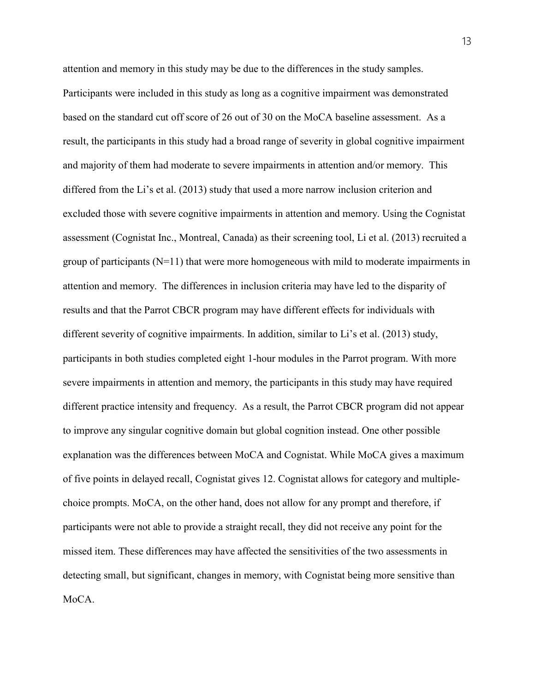attention and memory in this study may be due to the differences in the study samples. Participants were included in this study as long as a cognitive impairment was demonstrated based on the standard cut off score of 26 out of 30 on the MoCA baseline assessment. As a result, the participants in this study had a broad range of severity in global cognitive impairment and majority of them had moderate to severe impairments in attention and/or memory. This differed from the Li's et al. (2013) study that used a more narrow inclusion criterion and excluded those with severe cognitive impairments in attention and memory. Using the Cognistat assessment (Cognistat Inc., Montreal, Canada) as their screening tool, Li et al. (2013) recruited a group of participants  $(N=11)$  that were more homogeneous with mild to moderate impairments in attention and memory. The differences in inclusion criteria may have led to the disparity of results and that the Parrot CBCR program may have different effects for individuals with different severity of cognitive impairments. In addition, similar to Li's et al. (2013) study, participants in both studies completed eight 1-hour modules in the Parrot program. With more severe impairments in attention and memory, the participants in this study may have required different practice intensity and frequency. As a result, the Parrot CBCR program did not appear to improve any singular cognitive domain but global cognition instead. One other possible explanation was the differences between MoCA and Cognistat. While MoCA gives a maximum of five points in delayed recall, Cognistat gives 12. Cognistat allows for category and multiplechoice prompts. MoCA, on the other hand, does not allow for any prompt and therefore, if participants were not able to provide a straight recall, they did not receive any point for the missed item. These differences may have affected the sensitivities of the two assessments in detecting small, but significant, changes in memory, with Cognistat being more sensitive than MoCA.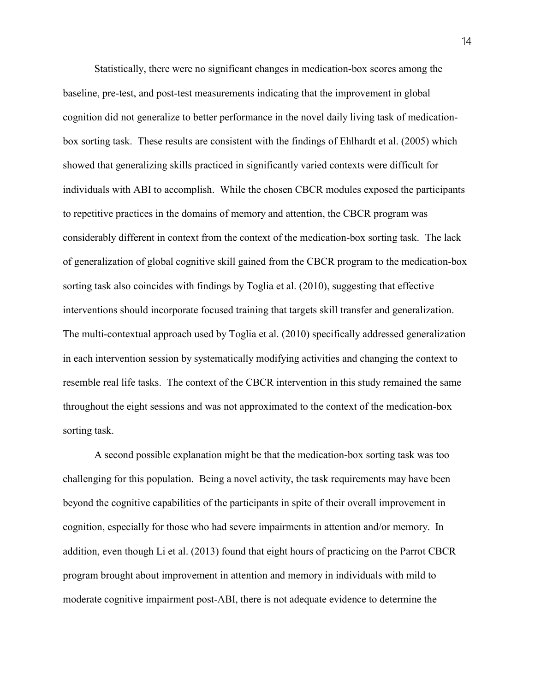Statistically, there were no significant changes in medication-box scores among the baseline, pre-test, and post-test measurements indicating that the improvement in global cognition did not generalize to better performance in the novel daily living task of medicationbox sorting task. These results are consistent with the findings of Ehlhardt et al. (2005) which showed that generalizing skills practiced in significantly varied contexts were difficult for individuals with ABI to accomplish. While the chosen CBCR modules exposed the participants to repetitive practices in the domains of memory and attention, the CBCR program was considerably different in context from the context of the medication-box sorting task. The lack of generalization of global cognitive skill gained from the CBCR program to the medication-box sorting task also coincides with findings by Toglia et al. (2010), suggesting that effective interventions should incorporate focused training that targets skill transfer and generalization. The multi-contextual approach used by Toglia et al. (2010) specifically addressed generalization in each intervention session by systematically modifying activities and changing the context to resemble real life tasks. The context of the CBCR intervention in this study remained the same throughout the eight sessions and was not approximated to the context of the medication-box sorting task.

A second possible explanation might be that the medication-box sorting task was too challenging for this population. Being a novel activity, the task requirements may have been beyond the cognitive capabilities of the participants in spite of their overall improvement in cognition, especially for those who had severe impairments in attention and/or memory. In addition, even though Li et al. (2013) found that eight hours of practicing on the Parrot CBCR program brought about improvement in attention and memory in individuals with mild to moderate cognitive impairment post-ABI, there is not adequate evidence to determine the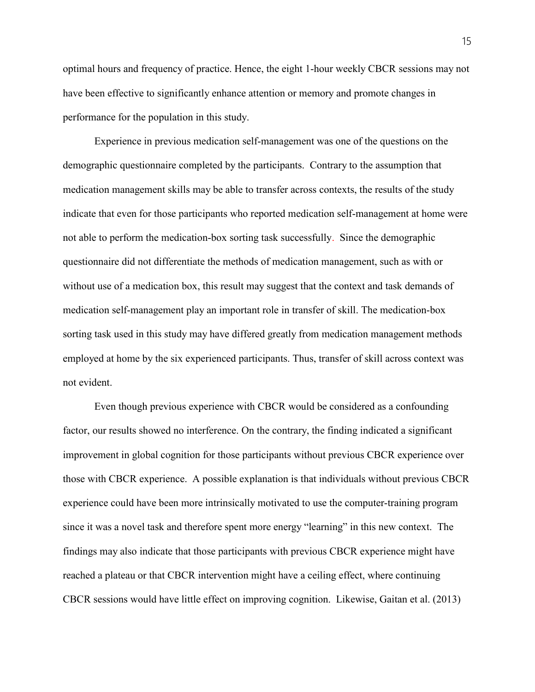optimal hours and frequency of practice. Hence, the eight 1-hour weekly CBCR sessions may not have been effective to significantly enhance attention or memory and promote changes in performance for the population in this study.

Experience in previous medication self-management was one of the questions on the demographic questionnaire completed by the participants. Contrary to the assumption that medication management skills may be able to transfer across contexts, the results of the study indicate that even for those participants who reported medication self-management at home were not able to perform the medication-box sorting task successfully. Since the demographic questionnaire did not differentiate the methods of medication management, such as with or without use of a medication box, this result may suggest that the context and task demands of medication self-management play an important role in transfer of skill. The medication-box sorting task used in this study may have differed greatly from medication management methods employed at home by the six experienced participants. Thus, transfer of skill across context was not evident.

Even though previous experience with CBCR would be considered as a confounding factor, our results showed no interference. On the contrary, the finding indicated a significant improvement in global cognition for those participants without previous CBCR experience over those with CBCR experience. A possible explanation is that individuals without previous CBCR experience could have been more intrinsically motivated to use the computer-training program since it was a novel task and therefore spent more energy "learning" in this new context. The findings may also indicate that those participants with previous CBCR experience might have reached a plateau or that CBCR intervention might have a ceiling effect, where continuing CBCR sessions would have little effect on improving cognition. Likewise, Gaitan et al. (2013)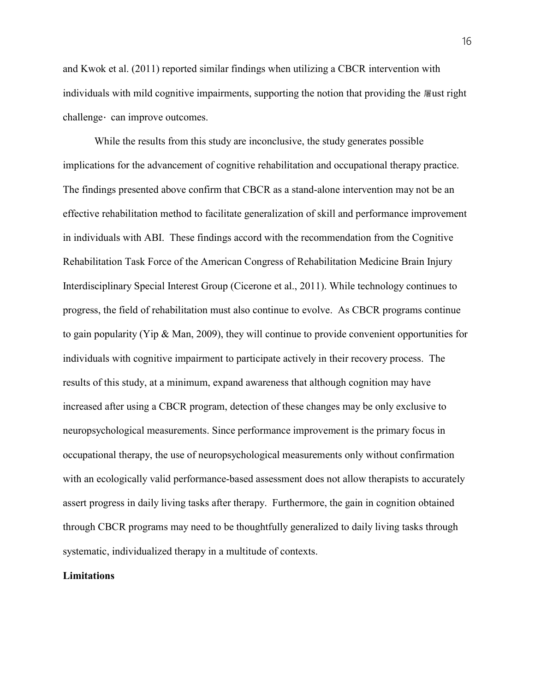and Kwok et al. (2011) reported similar findings when utilizing a CBCR intervention with individuals with mild cognitive impairments, supporting the notion that providing the <sub>屠</sub>ust right challenge · can improve outcomes.

While the results from this study are inconclusive, the study generates possible implications for the advancement of cognitive rehabilitation and occupational therapy practice. The findings presented above confirm that CBCR as a stand-alone intervention may not be an effective rehabilitation method to facilitate generalization of skill and performance improvement in individuals with ABI. These findings accord with the recommendation from the Cognitive Rehabilitation Task Force of the American Congress of Rehabilitation Medicine Brain Injury Interdisciplinary Special Interest Group (Cicerone et al., 2011). While technology continues to progress, the field of rehabilitation must also continue to evolve. As CBCR programs continue to gain popularity (Yip & Man, 2009), they will continue to provide convenient opportunities for individuals with cognitive impairment to participate actively in their recovery process. The results of this study, at a minimum, expand awareness that although cognition may have increased after using a CBCR program, detection of these changes may be only exclusive to neuropsychological measurements. Since performance improvement is the primary focus in occupational therapy, the use of neuropsychological measurements only without confirmation with an ecologically valid performance-based assessment does not allow therapists to accurately assert progress in daily living tasks after therapy. Furthermore, the gain in cognition obtained through CBCR programs may need to be thoughtfully generalized to daily living tasks through systematic, individualized therapy in a multitude of contexts.

#### Limitations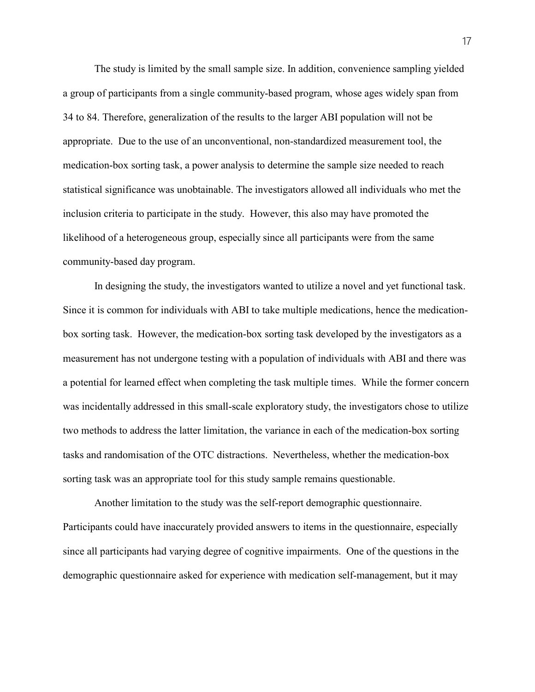The study is limited by the small sample size. In addition, convenience sampling yielded a group of participants from a single community-based program, whose ages widely span from 34 to 84. Therefore, generalization of the results to the larger ABI population will not be appropriate. Due to the use of an unconventional, non-standardized measurement tool, the medication-box sorting task, a power analysis to determine the sample size needed to reach statistical significance was unobtainable. The investigators allowed all individuals who met the inclusion criteria to participate in the study. However, this also may have promoted the likelihood of a heterogeneous group, especially since all participants were from the same community-based day program.

In designing the study, the investigators wanted to utilize a novel and yet functional task. Since it is common for individuals with ABI to take multiple medications, hence the medicationbox sorting task. However, the medication-box sorting task developed by the investigators as a measurement has not undergone testing with a population of individuals with ABI and there was a potential for learned effect when completing the task multiple times. While the former concern was incidentally addressed in this small-scale exploratory study, the investigators chose to utilize two methods to address the latter limitation, the variance in each of the medication-box sorting tasks and randomisation of the OTC distractions. Nevertheless, whether the medication-box sorting task was an appropriate tool for this study sample remains questionable.

Another limitation to the study was the self-report demographic questionnaire. Participants could have inaccurately provided answers to items in the questionnaire, especially since all participants had varying degree of cognitive impairments. One of the questions in the demographic questionnaire asked for experience with medication self-management, but it may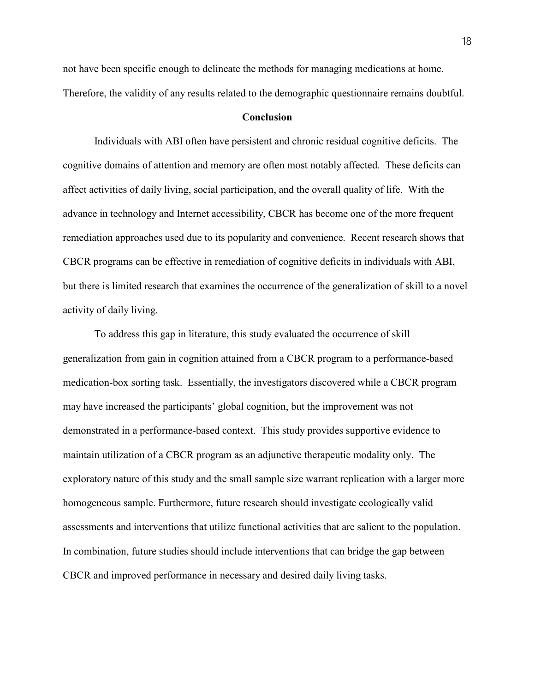not have been specific enough to delineate the methods for managing medications at home. Therefore, the validity of any results related to the demographic questionnaire remains doubtful.

#### Conclusion

Individuals with ABI often have persistent and chronic residual cognitive deficits. The cognitive domains of attention and memory are often most notably affected. These deficits can affect activities of daily living, social participation, and the overall quality of life. With the advance in technology and Internet accessibility, CBCR has become one of the more frequent remediation approaches used due to its popularity and convenience. Recent research shows that CBCR programs can be effective in remediation of cognitive deficits in individuals with ABI, but there is limited research that examines the occurrence of the generalization of skill to a novel activity of daily living.

 To address this gap in literature, this study evaluated the occurrence of skill generalization from gain in cognition attained from a CBCR program to a performance-based medication-box sorting task. Essentially, the investigators discovered while a CBCR program may have increased the participants' global cognition, but the improvement was not demonstrated in a performance-based context. This study provides supportive evidence to maintain utilization of a CBCR program as an adjunctive therapeutic modality only. The exploratory nature of this study and the small sample size warrant replication with a larger more homogeneous sample. Furthermore, future research should investigate ecologically valid assessments and interventions that utilize functional activities that are salient to the population. In combination, future studies should include interventions that can bridge the gap between CBCR and improved performance in necessary and desired daily living tasks.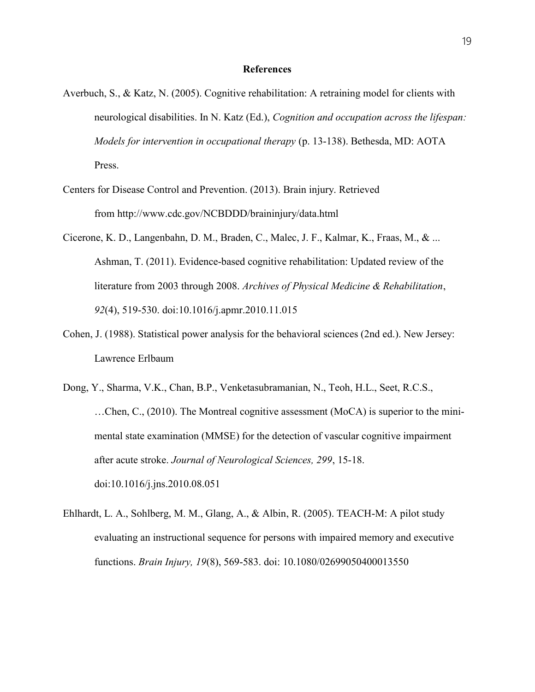#### References

- Averbuch, S., & Katz, N. (2005). Cognitive rehabilitation: A retraining model for clients with neurological disabilities. In N. Katz (Ed.), *Cognition and occupation across the lifespan*: Models for intervention in occupational therapy (p. 13-138). Bethesda, MD: AOTA Press.
- Centers for Disease Control and Prevention. (2013). Brain injury. Retrieved from http://www.cdc.gov/NCBDDD/braininjury/data.html
- Cicerone, K. D., Langenbahn, D. M., Braden, C., Malec, J. F., Kalmar, K., Fraas, M., & ... Ashman, T. (2011). Evidence-based cognitive rehabilitation: Updated review of the literature from 2003 through 2008. Archives of Physical Medicine & Rehabilitation, 92(4), 519-530. doi:10.1016/j.apmr.2010.11.015
- Cohen, J. (1988). Statistical power analysis for the behavioral sciences (2nd ed.). New Jersey: Lawrence Erlbaum
- Dong, Y., Sharma, V.K., Chan, B.P., Venketasubramanian, N., Teoh, H.L., Seet, R.C.S., …Chen, C., (2010). The Montreal cognitive assessment (MoCA) is superior to the minimental state examination (MMSE) for the detection of vascular cognitive impairment after acute stroke. Journal of Neurological Sciences, 299, 15-18. doi:10.1016/j.jns.2010.08.051
- Ehlhardt, L. A., Sohlberg, M. M., Glang, A., & Albin, R. (2005). TEACH-M: A pilot study evaluating an instructional sequence for persons with impaired memory and executive functions. Brain Injury, 19(8), 569-583. doi: 10.1080/02699050400013550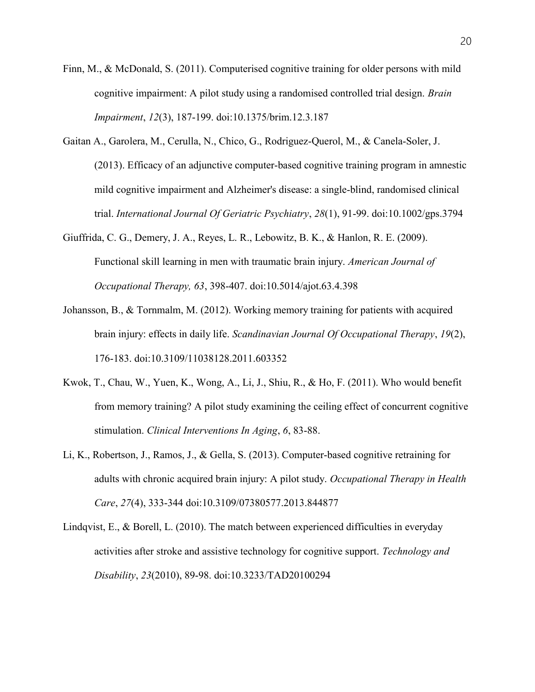- Finn, M., & McDonald, S. (2011). Computerised cognitive training for older persons with mild cognitive impairment: A pilot study using a randomised controlled trial design. *Brain* Impairment, 12(3), 187-199. doi:10.1375/brim.12.3.187
- Gaitan A., Garolera, M., Cerulla, N., Chico, G., Rodriguez-Querol, M., & Canela-Soler, J. (2013). Efficacy of an adjunctive computer-based cognitive training program in amnestic mild cognitive impairment and Alzheimer's disease: a single-blind, randomised clinical trial. International Journal Of Geriatric Psychiatry, 28(1), 91-99. doi:10.1002/gps.3794
- Giuffrida, C. G., Demery, J. A., Reyes, L. R., Lebowitz, B. K., & Hanlon, R. E. (2009). Functional skill learning in men with traumatic brain injury. American Journal of Occupational Therapy, 63, 398-407. doi:10.5014/ajot.63.4.398
- Johansson, B., & Tornmalm, M. (2012). Working memory training for patients with acquired brain injury: effects in daily life. Scandinavian Journal Of Occupational Therapy, 19(2), 176-183. doi:10.3109/11038128.2011.603352
- Kwok, T., Chau, W., Yuen, K., Wong, A., Li, J., Shiu, R., & Ho, F. (2011). Who would benefit from memory training? A pilot study examining the ceiling effect of concurrent cognitive stimulation. Clinical Interventions In Aging, 6, 83-88.
- Li, K., Robertson, J., Ramos, J., & Gella, S. (2013). Computer-based cognitive retraining for adults with chronic acquired brain injury: A pilot study. Occupational Therapy in Health Care, 27(4), 333-344 doi:10.3109/07380577.2013.844877
- Lindqvist, E., & Borell, L. (2010). The match between experienced difficulties in everyday activities after stroke and assistive technology for cognitive support. Technology and Disability, 23(2010), 89-98. doi:10.3233/TAD20100294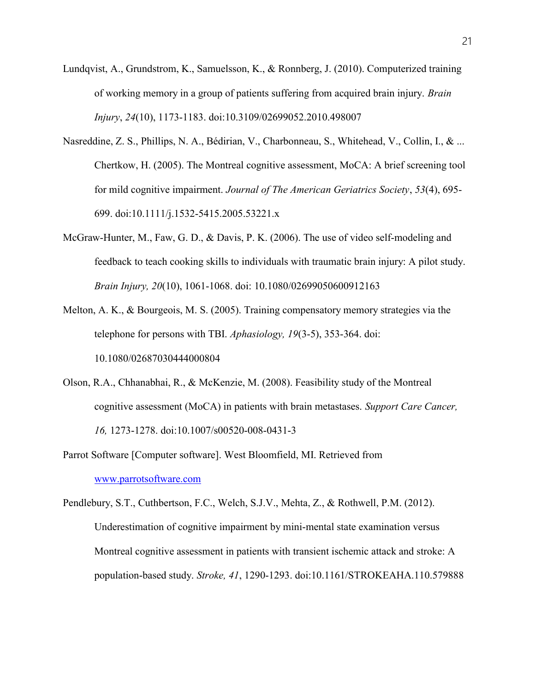- Lundqvist, A., Grundstrom, K., Samuelsson, K., & Ronnberg, J. (2010). Computerized training of working memory in a group of patients suffering from acquired brain injury. Brain Injury, 24(10), 1173-1183. doi:10.3109/02699052.2010.498007
- Nasreddine, Z. S., Phillips, N. A., Bédirian, V., Charbonneau, S., Whitehead, V., Collin, I., & ... Chertkow, H. (2005). The Montreal cognitive assessment, MoCA: A brief screening tool for mild cognitive impairment. Journal of The American Geriatrics Society, 53(4), 695- 699. doi:10.1111/j.1532-5415.2005.53221.x
- McGraw-Hunter, M., Faw, G. D., & Davis, P. K. (2006). The use of video self-modeling and feedback to teach cooking skills to individuals with traumatic brain injury: A pilot study. Brain Injury, 20(10), 1061-1068. doi: 10.1080/02699050600912163
- Melton, A. K., & Bourgeois, M. S. (2005). Training compensatory memory strategies via the telephone for persons with TBI. Aphasiology, 19(3-5), 353-364. doi: 10.1080/02687030444000804
- Olson, R.A., Chhanabhai, R., & McKenzie, M. (2008). Feasibility study of the Montreal cognitive assessment (MoCA) in patients with brain metastases. Support Care Cancer, 16, 1273-1278. doi:10.1007/s00520-008-0431-3
- Parrot Software [Computer software]. West Bloomfield, MI. Retrieved from www.parrotsoftware.com

Pendlebury, S.T., Cuthbertson, F.C., Welch, S.J.V., Mehta, Z., & Rothwell, P.M. (2012). Underestimation of cognitive impairment by mini-mental state examination versus Montreal cognitive assessment in patients with transient ischemic attack and stroke: A population-based study. Stroke, 41, 1290-1293. doi:10.1161/STROKEAHA.110.579888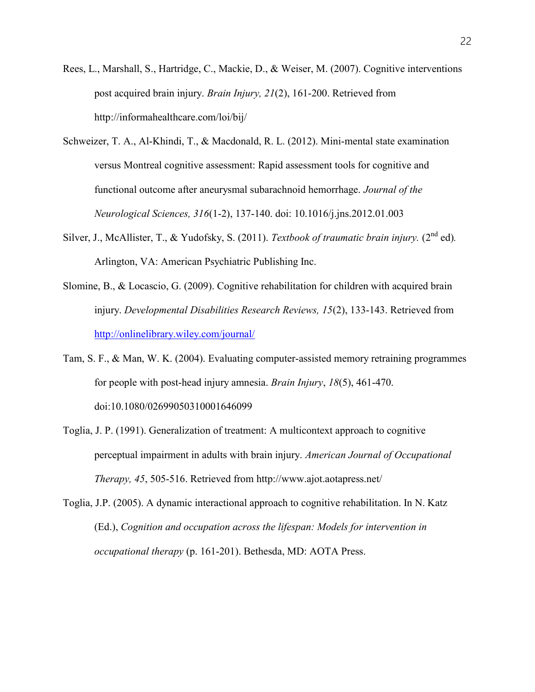- Rees, L., Marshall, S., Hartridge, C., Mackie, D., & Weiser, M. (2007). Cognitive interventions post acquired brain injury. Brain Injury, 21(2), 161-200. Retrieved from http://informahealthcare.com/loi/bij/
- Schweizer, T. A., Al-Khindi, T., & Macdonald, R. L. (2012). Mini-mental state examination versus Montreal cognitive assessment: Rapid assessment tools for cognitive and functional outcome after aneurysmal subarachnoid hemorrhage. Journal of the Neurological Sciences, 316(1-2), 137-140. doi: 10.1016/j.jns.2012.01.003
- Silver, J., McAllister, T., & Yudofsky, S. (2011). Textbook of traumatic brain injury. (2<sup>nd</sup> ed). Arlington, VA: American Psychiatric Publishing Inc.
- Slomine, B., & Locascio, G. (2009). Cognitive rehabilitation for children with acquired brain injury. Developmental Disabilities Research Reviews, 15(2), 133-143. Retrieved from http://onlinelibrary.wiley.com/journal/
- Tam, S. F., & Man, W. K. (2004). Evaluating computer-assisted memory retraining programmes for people with post-head injury amnesia. Brain Injury, 18(5), 461-470. doi:10.1080/02699050310001646099
- Toglia, J. P. (1991). Generalization of treatment: A multicontext approach to cognitive perceptual impairment in adults with brain injury. American Journal of Occupational Therapy, 45, 505-516. Retrieved from http://www.ajot.aotapress.net/
- Toglia, J.P. (2005). A dynamic interactional approach to cognitive rehabilitation. In N. Katz (Ed.), Cognition and occupation across the lifespan: Models for intervention in occupational therapy (p. 161-201). Bethesda, MD: AOTA Press.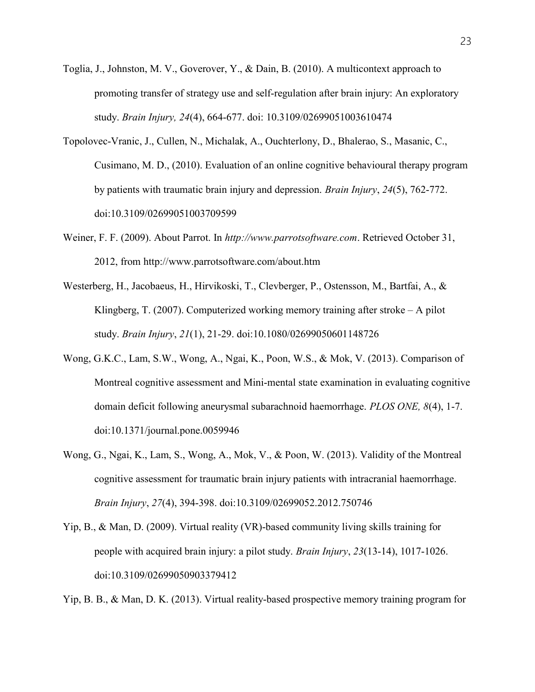- Toglia, J., Johnston, M. V., Goverover, Y., & Dain, B. (2010). A multicontext approach to promoting transfer of strategy use and self-regulation after brain injury: An exploratory study. Brain Injury, 24(4), 664-677. doi: 10.3109/02699051003610474
- Topolovec-Vranic, J., Cullen, N., Michalak, A., Ouchterlony, D., Bhalerao, S., Masanic, C., Cusimano, M. D., (2010). Evaluation of an online cognitive behavioural therapy program by patients with traumatic brain injury and depression. Brain Injury, 24(5), 762-772. doi:10.3109/02699051003709599
- Weiner, F. F. (2009). About Parrot. In http://www.parrotsoftware.com. Retrieved October 31, 2012, from http://www.parrotsoftware.com/about.htm
- Westerberg, H., Jacobaeus, H., Hirvikoski, T., Clevberger, P., Ostensson, M., Bartfai, A., & Klingberg, T. (2007). Computerized working memory training after stroke – A pilot study. Brain Injury, 21(1), 21-29. doi:10.1080/02699050601148726
- Wong, G.K.C., Lam, S.W., Wong, A., Ngai, K., Poon, W.S., & Mok, V. (2013). Comparison of Montreal cognitive assessment and Mini-mental state examination in evaluating cognitive domain deficit following aneurysmal subarachnoid haemorrhage. PLOS ONE, 8(4), 1-7. doi:10.1371/journal.pone.0059946
- Wong, G., Ngai, K., Lam, S., Wong, A., Mok, V., & Poon, W. (2013). Validity of the Montreal cognitive assessment for traumatic brain injury patients with intracranial haemorrhage. Brain Injury, 27(4), 394-398. doi:10.3109/02699052.2012.750746
- Yip, B., & Man, D. (2009). Virtual reality (VR)-based community living skills training for people with acquired brain injury: a pilot study. Brain Injury, 23(13-14), 1017-1026. doi:10.3109/02699050903379412

Yip, B. B., & Man, D. K. (2013). Virtual reality-based prospective memory training program for